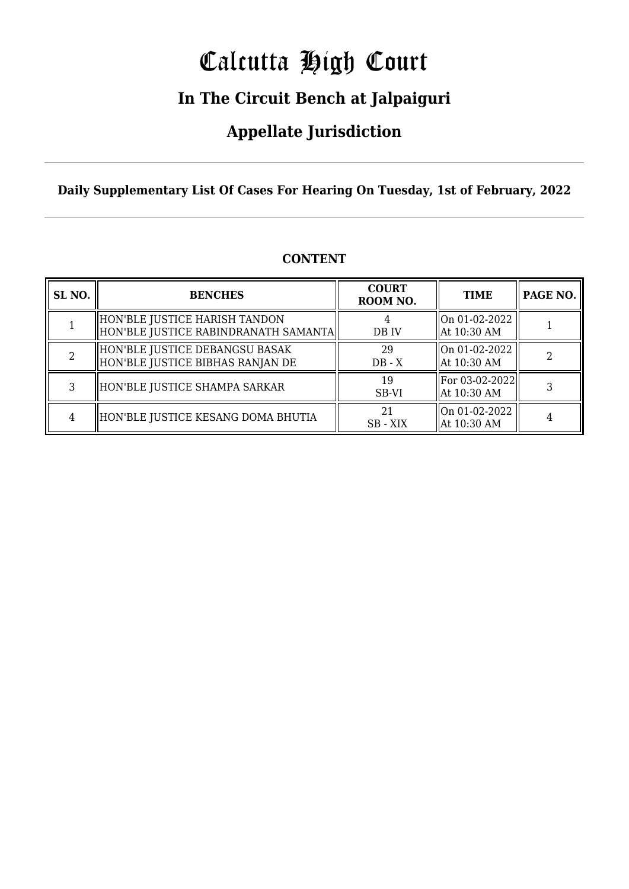# Calcutta High Court

### **In The Circuit Bench at Jalpaiguri**

### **Appellate Jurisdiction**

**Daily Supplementary List Of Cases For Hearing On Tuesday, 1st of February, 2022**

| SL <sub>NO.</sub> | <b>BENCHES</b>                                                        | <b>COURT</b><br>ROOM NO. | <b>TIME</b>                   | PAGE NO. |
|-------------------|-----------------------------------------------------------------------|--------------------------|-------------------------------|----------|
|                   | HON'BLE JUSTICE HARISH TANDON<br>HON'BLE JUSTICE RABINDRANATH SAMANTA | DB IV                    | On 01-02-2022<br>At 10:30 AM  |          |
|                   | HON'BLE JUSTICE DEBANGSU BASAK<br>HON'BLE JUSTICE BIBHAS RANJAN DE    | 29<br>$DB - X$           | On 01-02-2022<br>At 10:30 AM  |          |
| 3                 | HON'BLE JUSTICE SHAMPA SARKAR                                         | 19<br>SB-VI              | For 03-02-2022<br>At 10:30 AM |          |
| 4                 | HON'BLE JUSTICE KESANG DOMA BHUTIA                                    | 2.1<br>SB - XIX          | On 01-02-2022<br>At 10:30 AM  |          |

### **CONTENT**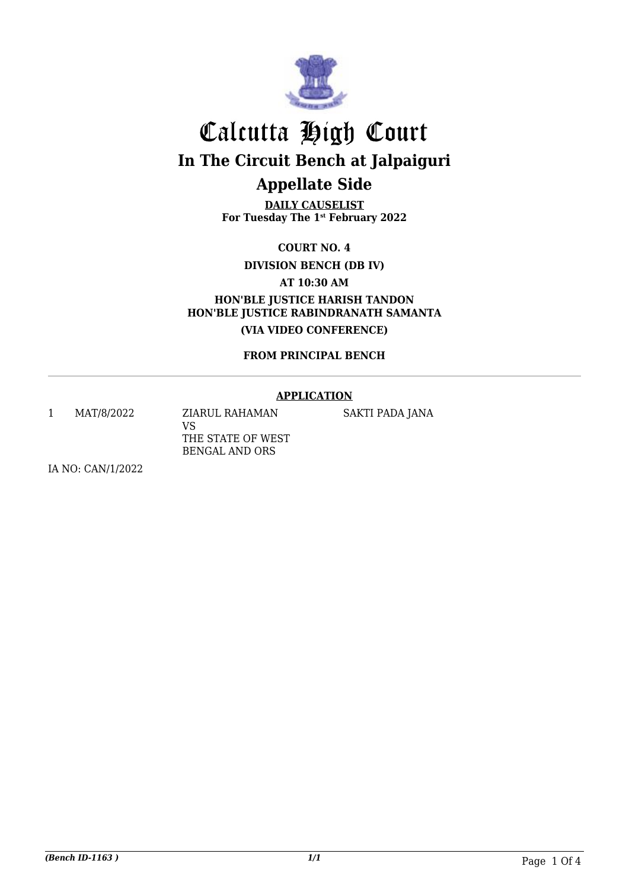

**DAILY CAUSELIST For Tuesday The 1st February 2022**

**COURT NO. 4**

**DIVISION BENCH (DB IV)**

**AT 10:30 AM**

**HON'BLE JUSTICE HARISH TANDON HON'BLE JUSTICE RABINDRANATH SAMANTA (VIA VIDEO CONFERENCE)**

**FROM PRINCIPAL BENCH**

#### **APPLICATION**

1 MAT/8/2022 ZIARUL RAHAMAN

VS THE STATE OF WEST BENGAL AND ORS

SAKTI PADA JANA

IA NO: CAN/1/2022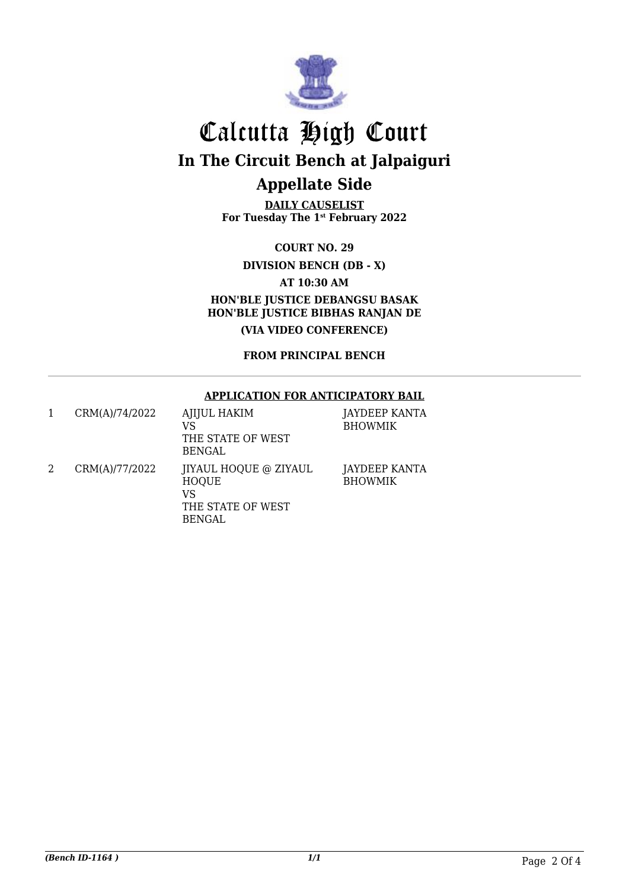

**DAILY CAUSELIST For Tuesday The 1st February 2022**

**COURT NO. 29**

**DIVISION BENCH (DB - X)**

**AT 10:30 AM**

**HON'BLE JUSTICE DEBANGSU BASAK HON'BLE JUSTICE BIBHAS RANJAN DE (VIA VIDEO CONFERENCE)**

**FROM PRINCIPAL BENCH**

#### **APPLICATION FOR ANTICIPATORY BAIL**

| CRM(A)/74/2022 | <b>AJIJUL HAKIM</b><br>VS<br>THE STATE OF WEST<br><b>BENGAL</b>                          | JAYDEEP KANTA<br><b>BHOWMIK</b> |
|----------------|------------------------------------------------------------------------------------------|---------------------------------|
| CRM(A)/77/2022 | <b>IIYAUL HOQUE @ ZIYAUL</b><br><b>HOQUE</b><br>VS<br>THE STATE OF WEST<br><b>BENGAL</b> | JAYDEEP KANTA<br><b>BHOWMIK</b> |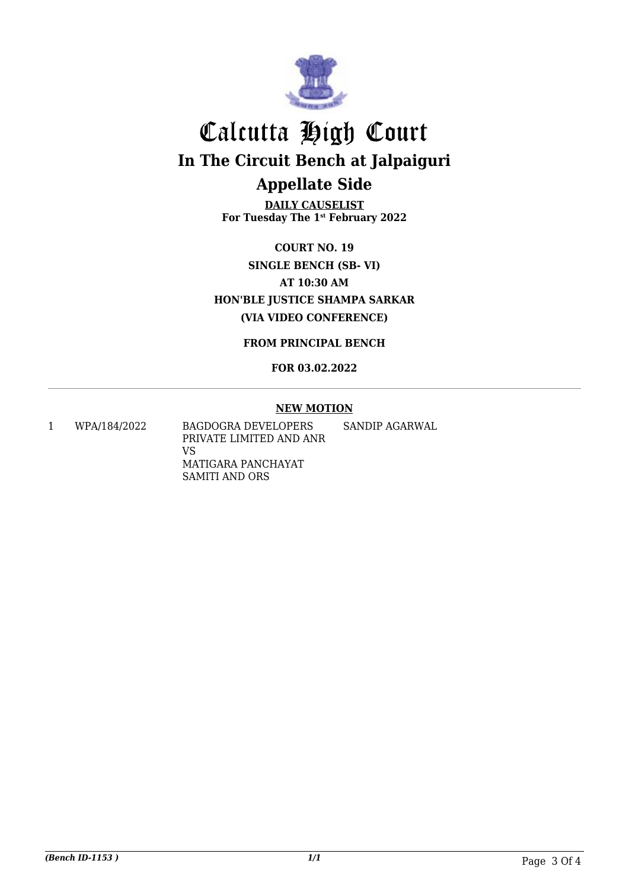

**DAILY CAUSELIST For Tuesday The 1st February 2022**

**COURT NO. 19 SINGLE BENCH (SB- VI) AT 10:30 AM HON'BLE JUSTICE SHAMPA SARKAR (VIA VIDEO CONFERENCE)**

**FROM PRINCIPAL BENCH**

**FOR 03.02.2022**

#### **NEW MOTION**

1 WPA/184/2022 BAGDOGRA DEVELOPERS PRIVATE LIMITED AND ANR VS MATIGARA PANCHAYAT SAMITI AND ORS SANDIP AGARWAL